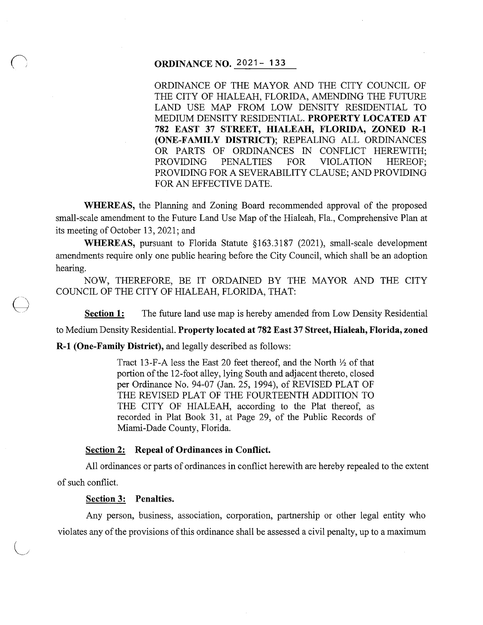# **ORDINANCE NO.** 2021- **133**

ORDINANCE OF THE MAYOR AND THE CITY COUNCIL OF THE CITY OF HIALEAH, FLORIDA, AMENDING THE FUTURE LAND USE MAP FROM LOW DENSITY RESIDENTIAL TO MEDIUM DENSITY RESIDENTIAL. **PROPERTY LOCATED AT 782 EAST 37 STREET, HIALEAH, FLORIDA, ZONED R-1 (ONE-FAMILY DISTRICT);** REPEALING ALL ORDINANCES OR PARTS OF ORDINANCES IN CONFLICT HEREWITH; PROVIDING PENALTIES FOR VIOLATION HEREOF; PROVIDING FOR A SEVERABILITY CLAUSE; AND PROVIDING FOR AN EFFECTIVE DATE.

**WHEREAS,** the Planning and Zoning Board recommended approval of the proposed small-scale amendment to the Future Land Use Map of the Hialeah, Fla., Comprehensive Plan at its meeting of October 13, 2021; and

**WHEREAS,** pursuant to Florida Statute §163.3187 (2021), small-scale development amendments require only one public hearing before the City Council, which shall be an adoption hearing.

NOW, THEREFORE, BE IT ORDAINED BY THE MAYOR AND THE CITY COUNCIL OF THE CITY OF HIALEAH, FLORIDA, THAT:

**Section 1:** The future land use map is hereby amended from Low Density Residential

to Medium Density Residential. **Property located at 782 East 37 Street, Hialeah, Florida, zoned** 

**R-1 (One-Family District),** and legally described as follows:

Tract 13-F-A less the East 20 feet thereof, and the North  $\frac{1}{2}$  of that portion of the 12-foot alley, lying South and adjacent thereto, closed per Ordinance No. 94-07 (Jan. 25, 1994), of REVISED PLAT OF THE REVISED PLAT OF THE FOURTEENTH ADDITION TO THE CITY OF HIALEAH, according to the Plat thereof, as recorded in Plat Book 31, at Page 29, of the Public Records of Miami-Dade County, Florida.

#### **Section 2: Repeal of Ordinances in Conflict.**

All ordinances or parts of ordinances in conflict herewith are hereby repealed to the extent of such conflict.

#### **Section 3: Penalties.**

 $\bigoplus$ 

Any person, business, association, corporation, partnership or other legal entity who violates any of the provisions of this ordinance shall be assessed a civil penalty, up to a maximum